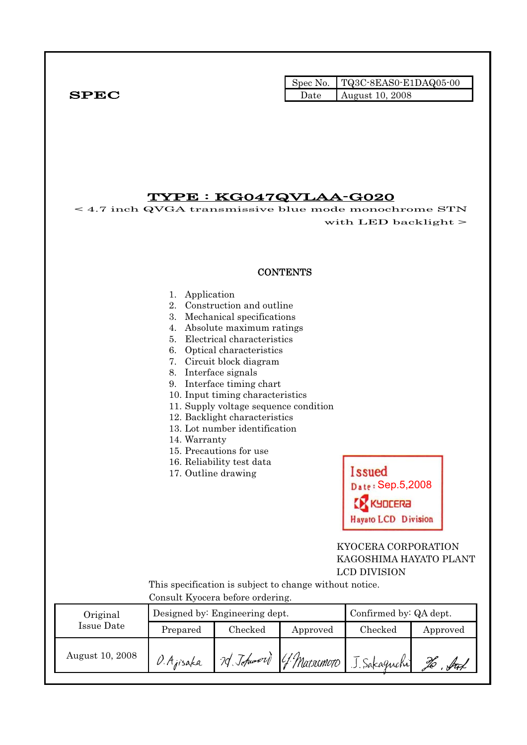|              | Spec No. $TQ3C-8EAS0- E1DAQ05-00$ |
|--------------|-----------------------------------|
| ${\bf SPEC}$ | Date $\vert$ August 10, 2008      |

## TYPE : KG047QVLAA-G020

< 4.7 inch QVGA transmissive blue mode monochrome STN  $\sim$  4.7 men with LED backlight  $>$ 

### **CONTENTS**

#### 1. Application

- 2. Construction and outline
- 3. Mechanical specifications
- 4. Absolute maximum ratings
- 5. Electrical characteristics
- 6. Optical characteristics
- 7. Circuit block diagram
- 8. Interface signals
- 9. Interface timing chart
- 10. Input timing characteristics
- 11. Supply voltage sequence condition
- 12. Backlight characteristics
- 13. Lot number identification
- 14. Warranty
- 15. Precautions for use
- 16. Reliability test data
- 17. Outline drawing



### KYOCERA CORPORATION KAGOSHIMA HAYATO PLANT LCD DIVISION

 This specification is subject to change without notice. Consult Kyocera before ordering.

| Original        |            | Designed by: Engineering dept. |          | Confirmed by: QA dept.                |                   |  |
|-----------------|------------|--------------------------------|----------|---------------------------------------|-------------------|--|
| Issue Date      | Prepared   | Checked                        | Approved | Checked                               | Approved          |  |
| August 10, 2008 | O. Ajisaka |                                |          | 20 Johnword G. Matsumoro J. Sakaguchi | f <del>re</del> t |  |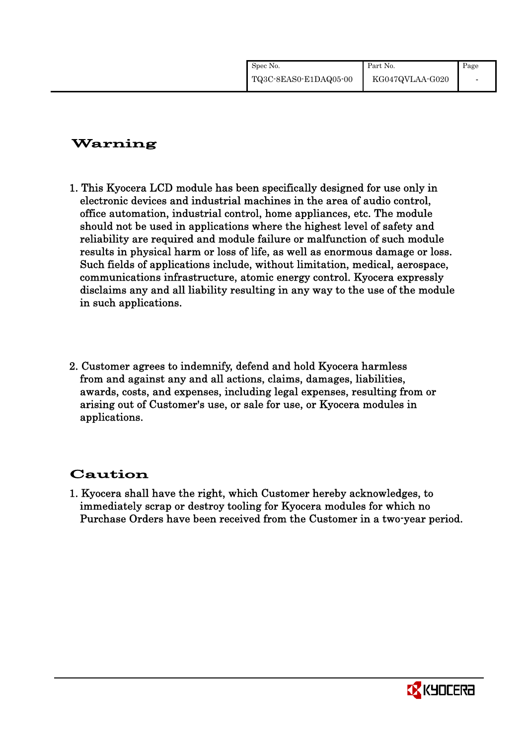| Spec No.              | Part No.        | Page |
|-----------------------|-----------------|------|
| TQ3C-8EAS0-E1DAQ05-00 | KG047QVLAA-G020 |      |

# Warning

- 1. This Kyocera LCD module has been specifically designed for use only in electronic devices and industrial machines in the area of audio control, office automation, industrial control, home appliances, etc. The module should not be used in applications where the highest level of safety and reliability are required and module failure or malfunction of such module results in physical harm or loss of life, as well as enormous damage or loss. Such fields of applications include, without limitation, medical, aerospace, communications infrastructure, atomic energy control. Kyocera expressly disclaims any and all liability resulting in any way to the use of the module in such applications.
- 2. Customer agrees to indemnify, defend and hold Kyocera harmless from and against any and all actions, claims, damages, liabilities, awards, costs, and expenses, including legal expenses, resulting from or arising out of Customer's use, or sale for use, or Kyocera modules in applications.

# Caution

1. Kyocera shall have the right, which Customer hereby acknowledges, to immediately scrap or destroy tooling for Kyocera modules for which no Purchase Orders have been received from the Customer in a two-year period.

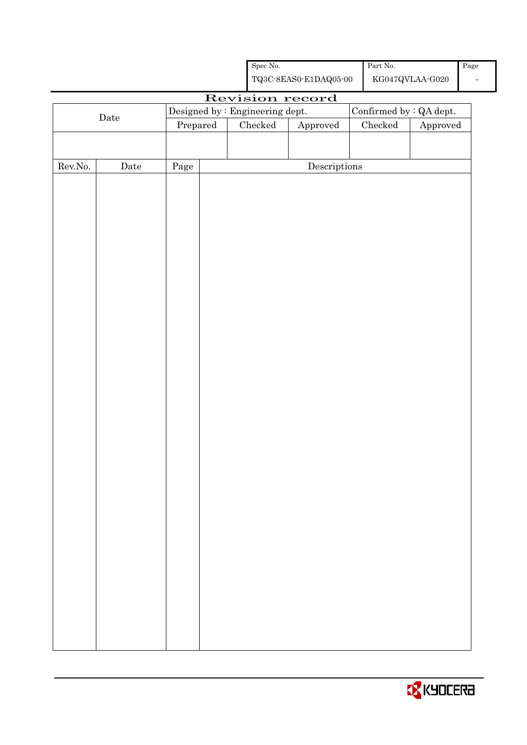|                  |                                                |          |                                                    | ${\rm Spec}$ No. |                                      | $\operatorname{Part}$ No. |                                            | Page           |
|------------------|------------------------------------------------|----------|----------------------------------------------------|------------------|--------------------------------------|---------------------------|--------------------------------------------|----------------|
|                  |                                                |          | ${\bf TQ3C\text{-}SEAS0\text{-}E1DAQ05\text{-}00}$ |                  |                                      |                           | ${\rm KG}047{\rm QVLAA}\mbox{-}{\rm GO}20$ | $\blacksquare$ |
|                  |                                                |          |                                                    |                  | Revision record                      |                           |                                            |                |
|                  | Designed by : Engineering dept.<br>$\rm{Date}$ |          |                                                    |                  |                                      |                           | Confirmed by : QA dept.                    |                |
|                  |                                                | Prepared |                                                    | ${\it Checked}$  | Approved                             | ${\it Checked}$           | Approved                                   |                |
|                  |                                                |          |                                                    |                  |                                      |                           |                                            |                |
|                  |                                                |          |                                                    |                  |                                      |                           |                                            |                |
| ${\rm Rev. No.}$ | $\rm{Date}$                                    | Page     |                                                    |                  | $\label{eq:2} \textbf{Descriptions}$ |                           |                                            |                |
|                  |                                                |          |                                                    |                  |                                      |                           |                                            |                |
|                  |                                                |          |                                                    |                  |                                      |                           |                                            |                |
|                  |                                                |          |                                                    |                  |                                      |                           |                                            |                |
|                  |                                                |          |                                                    |                  |                                      |                           |                                            |                |
|                  |                                                |          |                                                    |                  |                                      |                           |                                            |                |
|                  |                                                |          |                                                    |                  |                                      |                           |                                            |                |
|                  |                                                |          |                                                    |                  |                                      |                           |                                            |                |
|                  |                                                |          |                                                    |                  |                                      |                           |                                            |                |
|                  |                                                |          |                                                    |                  |                                      |                           |                                            |                |
|                  |                                                |          |                                                    |                  |                                      |                           |                                            |                |
|                  |                                                |          |                                                    |                  |                                      |                           |                                            |                |
|                  |                                                |          |                                                    |                  |                                      |                           |                                            |                |
|                  |                                                |          |                                                    |                  |                                      |                           |                                            |                |
|                  |                                                |          |                                                    |                  |                                      |                           |                                            |                |
|                  |                                                |          |                                                    |                  |                                      |                           |                                            |                |
|                  |                                                |          |                                                    |                  |                                      |                           |                                            |                |
|                  |                                                |          |                                                    |                  |                                      |                           |                                            |                |
|                  |                                                |          |                                                    |                  |                                      |                           |                                            |                |
|                  |                                                |          |                                                    |                  |                                      |                           |                                            |                |
|                  |                                                |          |                                                    |                  |                                      |                           |                                            |                |
|                  |                                                |          |                                                    |                  |                                      |                           |                                            |                |
|                  |                                                |          |                                                    |                  |                                      |                           |                                            |                |
|                  |                                                |          |                                                    |                  |                                      |                           |                                            |                |
|                  |                                                |          |                                                    |                  |                                      |                           |                                            |                |
|                  |                                                |          |                                                    |                  |                                      |                           |                                            |                |
|                  |                                                |          |                                                    |                  |                                      |                           |                                            |                |
|                  |                                                |          |                                                    |                  |                                      |                           |                                            |                |
|                  |                                                |          |                                                    |                  |                                      |                           |                                            |                |
|                  |                                                |          |                                                    |                  |                                      |                           |                                            |                |
|                  |                                                |          |                                                    |                  |                                      |                           |                                            |                |
|                  |                                                |          |                                                    |                  |                                      |                           |                                            |                |
|                  |                                                |          |                                                    |                  |                                      |                           |                                            |                |
|                  |                                                |          |                                                    |                  |                                      |                           |                                            |                |
|                  |                                                |          |                                                    |                  |                                      |                           |                                            |                |

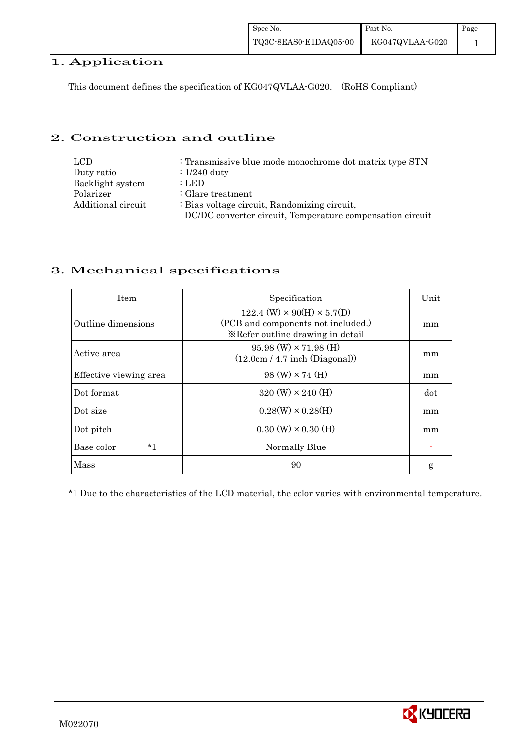## 1. Application

This document defines the specification of KG047QVLAA-G020. (RoHS Compliant)

### 2. Construction and outline

| LCD                | : Transmissive blue mode monochrome dot matrix type STN   |
|--------------------|-----------------------------------------------------------|
| Duty ratio         | $\therefore$ 1/240 duty                                   |
| Backlight system   | : LED                                                     |
| Polarizer          | $\therefore$ Glare treatment                              |
| Additional circuit | : Bias voltage circuit, Randomizing circuit,              |
|                    | DC/DC converter circuit, Temperature compensation circuit |

### 3. Mechanical specifications

| <b>Item</b>            | Specification                                                                                                        | Unit |
|------------------------|----------------------------------------------------------------------------------------------------------------------|------|
| Outline dimensions     | $122.4$ (W) $\times$ 90(H) $\times$ 5.7(D)<br>(PCB and components not included.)<br>*Refer outline drawing in detail | mm   |
| Active area            | $95.98$ (W) $\times$ 71.98 (H)<br>(12.0cm / 4.7 inch (Diagonal))                                                     | mm   |
| Effective viewing area | $98 \text{ (W)} \times 74 \text{ (H)}$                                                                               | mm   |
| Dot format             | $320 \text{ (W)} \times 240 \text{ (H)}$                                                                             | dot  |
| Dot size               | $0.28(W) \times 0.28(H)$                                                                                             | mm   |
| Dot pitch              | $0.30 \ (W) \times 0.30 \ (H)$                                                                                       | mm   |
| *1<br>Base color       | Normally Blue                                                                                                        |      |
| Mass                   | 90                                                                                                                   | g    |

\*1 Due to the characteristics of the LCD material, the color varies with environmental temperature.

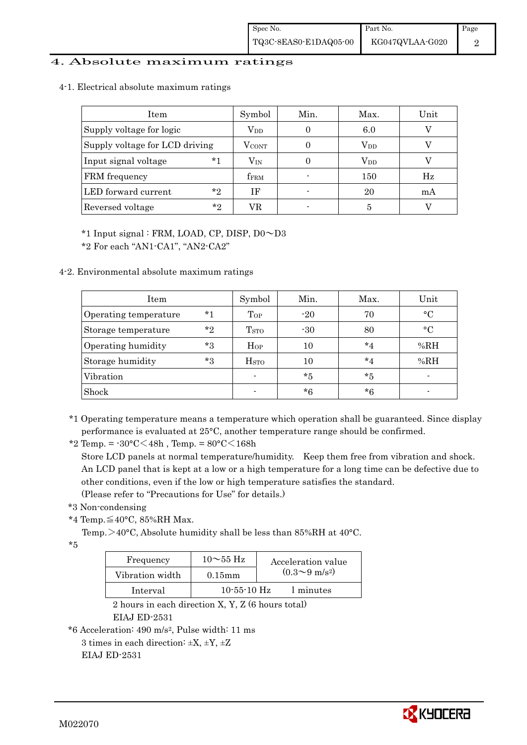### 4. Absolute maximum ratings

4-1. Electrical absolute maximum ratings

| Item                           | Symbol           | Min. | Max.         | Unit |
|--------------------------------|------------------|------|--------------|------|
| Supply voltage for logic       | $\rm V_{DD}$     |      | 6.0          |      |
| Supply voltage for LCD driving | <b>VCONT</b>     |      | $\rm V_{DD}$ |      |
| $*1$<br>Input signal voltage   | $\rm V_{IN}$     |      | $\rm V_{DD}$ |      |
| FRM frequency                  | f <sub>FRM</sub> |      | 150          | Hz   |
| $*_{2}$<br>LED forward current | ΙF               |      | 20           | mA   |
| $*_{2}$<br>Reversed voltage    | VR               |      | 5            |      |

\*1 Input signal : FRM, LOAD, CP, DISP, D0~D3

\*2 For each "AN1-CA1", "AN2-CA2"

4-2. Environmental absolute maximum ratings

| Item                  |         | Symbol                  | Min.  | Max.    | Unit      |
|-----------------------|---------|-------------------------|-------|---------|-----------|
| Operating temperature | $*1$    | Top                     | $-20$ | 70      | $\circ$ C |
| Storage temperature   | $*_{2}$ | <b>T</b> <sub>STO</sub> | $-30$ | 80      | $\circ$ C |
| Operating humidity    | $*_{3}$ | $H_{OP}$                | 10    | $*_{4}$ | %RH       |
| Storage humidity      | *3      | H <sub>STO</sub>        | 10    | $*_{4}$ | %RH       |
| Vibration             |         |                         | $*5$  | $*5$    |           |
| Shock                 |         |                         | *6    | *6      |           |

\*1 Operating temperature means a temperature which operation shall be guaranteed. Since display performance is evaluated at 25°C, another temperature range should be confirmed.

\*2 Temp. = -30°C<48h , Temp. = 80°C<168h

 Store LCD panels at normal temperature/humidity. Keep them free from vibration and shock. An LCD panel that is kept at a low or a high temperature for a long time can be defective due to other conditions, even if the low or high temperature satisfies the standard. (Please refer to "Precautions for Use" for details.)

\*3 Non-condensing

\*4 Temp.≦40°C, 85%RH Max.

Temp. >40°C, Absolute humidity shall be less than 85%RH at 40°C.

 $*5$ 

| Frequency       | $10\sim$ 55 Hz    | Acceleration value           |
|-----------------|-------------------|------------------------------|
| Vibration width | $0.15$ m m        | $(0.3 \sim 9 \text{ m/s}^2)$ |
| Interval        | $10 - 55 - 10$ Hz | 1 minutes                    |

 2 hours in each direction X, Y, Z (6 hours total) EIAJ ED-2531

\*6 Acceleration: 490 m/s2, Pulse width: 11 ms

3 times in each direction:  $\pm X$ ,  $\pm Y$ ,  $\pm Z$ EIAJ ED-2531

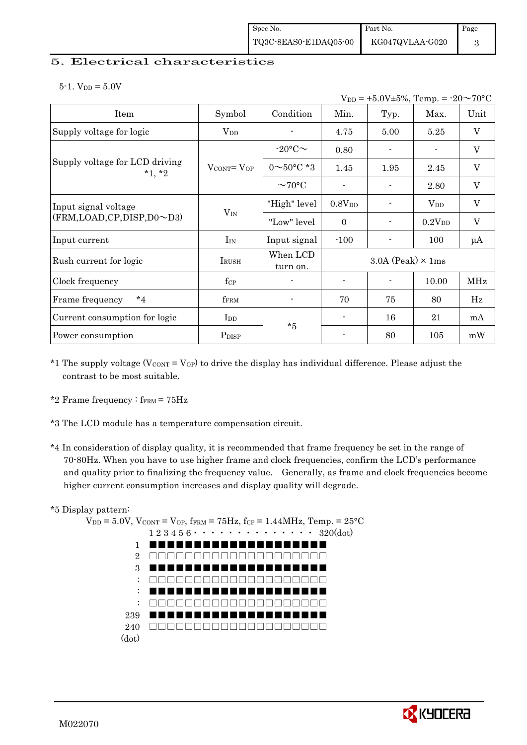### 5. Electrical characteristics

 $5-1.$  V<sub>DD</sub> =  $5.0V$ 

| $V_{DD} = +5.0V \pm 5\%,$ Temp. = $-20 \sim 70$ °C          |                                   |                          |                |                            |                    |         |
|-------------------------------------------------------------|-----------------------------------|--------------------------|----------------|----------------------------|--------------------|---------|
| Item                                                        | Symbol                            | Condition                | Min.           | Typ.                       | Max.               | Unit    |
| Supply voltage for logic                                    | $\rm V_{DD}$                      |                          | 4.75           | 5.00                       | 5.25               | V       |
|                                                             |                                   | $-20$ °C $\sim$          | 0.80           |                            |                    | V       |
| Supply voltage for LCD driving<br>$*1, *2$                  | $V_{\text{CONT}} = V_{\text{OP}}$ | $0 \sim 50^{\circ}$ C *3 | 1.45           | 1.95                       | 2.45               | $\rm V$ |
|                                                             |                                   | $\sim$ 70°C              |                |                            | 2.80               | V       |
| Input signal voltage<br>$(FRM, LOAD, CP, DISP, D0 \sim D3)$ | $V_{IN}$                          | "High" level             | $0.8V_{DD}$    |                            | $V_{DD}$           | V       |
|                                                             |                                   | "Low" level              | $\Omega$       |                            | 0.2V <sub>DD</sub> | $\rm V$ |
| Input current                                               | $I_{IN}$                          | Input signal             | $-100$         |                            | 100                | μA      |
| Rush current for logic                                      | $I_{\rm RUSH}$                    | When LCD<br>turn on.     |                | $3.0A$ (Peak) $\times$ 1ms |                    |         |
| Clock frequency                                             | $f_{\rm CP}$                      |                          |                |                            | 10.00              | MHz     |
| $*_{4}$<br>Frame frequency                                  | fFRM                              |                          | 70             | 75                         | 80                 | Hz      |
| Current consumption for logic                               | $_{\rm{Lpp}}$                     | $*5$                     | $\blacksquare$ | 16                         | 21                 | mA      |
| Power consumption                                           | P <sub>DISP</sub>                 |                          |                | 80                         | 105                | mW      |

- \*1 The supply voltage ( $V_{\text{CONT}} = V_{\text{OP}}$ ) to drive the display has individual difference. Please adjust the contrast to be most suitable.
- \*2 Frame frequency :  $f_{\text{FRM}}$  =  $75\text{Hz}$
- \*3 The LCD module has a temperature compensation circuit.
- \*4 In consideration of display quality, it is recommended that frame frequency be set in the range of 70-80Hz. When you have to use higher frame and clock frequencies, confirm the LCD's performance and quality prior to finalizing the frequency value. Generally, as frame and clock frequencies become higher current consumption increases and display quality will degrade.

### \*5 Display pattern:

 $V_{DD} = 5.0V$ ,  $V_{CONT} = V_{OP}$ ,  $f_{FRM} = 75Hz$ ,  $f_{CP} = 1.44MHz$ ,  $Temp = 25°C$  1 2 3 4 5 6・・・・・・・・・・・・・・ 320(dot) 1 2 3 : : : 239 240 □□□□□□□□□□□□□□□□□□□□(dot) ■■■■■■■■■■■■■■■■■■■■ □□□□□□□□□□□□□□□□□□□□ ■■■■■■■■■■■■■■■■■■■■ □□□□□□□□□□□□□□□□□□□□ ■■■■■■■■■■■■■■■■■■■■ □□□□□□□□□□□□□□□□□□□□ ■■■■■■■■■■■■■■■■■■■■

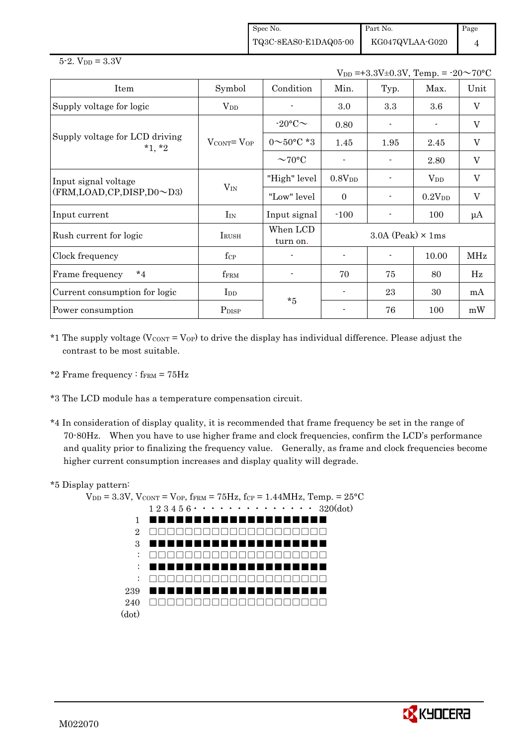Spec No. TQ3C-8EAS0-E1DAQ05-00 Part No. KG047QVLAA-G020 Page

 $V_{DD} = +3.3V \pm 0.3V$ , Temp. =  $-20 \sim 70$ °C

4

| Item                                       | Symbol                            | Condition                | Min.               | Typ.                       | Max.               | Unit                      |  |
|--------------------------------------------|-----------------------------------|--------------------------|--------------------|----------------------------|--------------------|---------------------------|--|
| Supply voltage for logic                   | $\rm V_{DD}$                      |                          | $3.0\,$            | 3.3                        | $3.6\,$            | $\mathbf{V}$              |  |
|                                            |                                   | $-20$ °C $\sim$          | 0.80               |                            | $\blacksquare$     | $\rm V$                   |  |
| Supply voltage for LCD driving<br>$*1, *2$ | $V_{\text{CONT}} = V_{\text{OP}}$ | $0 \sim 50^{\circ}$ C *3 | 1.45               | 1.95                       | 2.45               | V                         |  |
|                                            |                                   | $\sim$ 70°C              |                    |                            | 2.80               | V                         |  |
| Input signal voltage                       | $V_{IN}$                          | "High" level             | 0.8V <sub>DD</sub> |                            | $V_{DD}$           | $\mathbf V$               |  |
| (FRM, LOAD, CP, DISP, D0~D3)               |                                   | "Low" level              | $\Omega$           |                            | 0.2V <sub>DD</sub> | $\boldsymbol{\mathrm{V}}$ |  |
| Input current                              | $I_{IN}$                          | Input signal             | $-100$             |                            | 100                | $\mu A$                   |  |
| Rush current for logic                     | IRUSH                             | When LCD<br>turn on.     |                    | $3.0A$ (Peak) $\times$ 1ms |                    |                           |  |
| Clock frequency                            | $f_{\rm CP}$                      |                          |                    |                            | 10.00              | MHz                       |  |
| $*_{4}$<br>Frame frequency                 | fFRM                              |                          | 70                 | 75                         | 80                 | Hz                        |  |
| Current consumption for logic              | $_{\rm{LDD}}$                     | $*5$                     |                    | 23                         | 30                 | mA                        |  |
| Power consumption                          | P <sub>DISP</sub>                 |                          |                    | 76                         | 100                | mW                        |  |

\*1 The supply voltage ( $V_{\text{CONT}} = V_{\text{OP}}$ ) to drive the display has individual difference. Please adjust the contrast to be most suitable.

- \*2 Frame frequency :  $f_{\text{FRM}} = 75 \text{Hz}$
- \*3 The LCD module has a temperature compensation circuit.
- \*4 In consideration of display quality, it is recommended that frame frequency be set in the range of 70-80Hz. When you have to use higher frame and clock frequencies, confirm the LCD's performance and quality prior to finalizing the frequency value. Generally, as frame and clock frequencies become higher current consumption increases and display quality will degrade.

### \*5 Display pattern:

 $V_{DD} = 3.3V$ ,  $V_{CONT} = V_{OP}$ ,  $f_{FRM} = 75Hz$ ,  $f_{CP} = 1.44MHz$ ,  $Temp = 25°C$  $1\ 2\ 3\ 4\ 5\ 6\ \cdot\ \cdot\ \cdot\ \cdot\ \cdot\ \cdot\ \cdot\ \cdot\ \cdot\ \cdot\ \cdot\ 320(\mathrm{dot})$ 1 2 3 : : : 239 240 □□□□□□□□□□□□□□□□□□□□(dot) ■■■■■■■■■■■■■■■■■■■■ □□□□□□□□□□□□□□□□□□□□ ■■■■■■■■■■■■■■■■■■■■ □□□□□□□□□□□□□□□□□□□□ ■■■■■■■■■■■■■■■■■■■■ □□□□□□□□□□□□□□□□□□□□ ■■■■■■■■■■■■■■■■■■■■

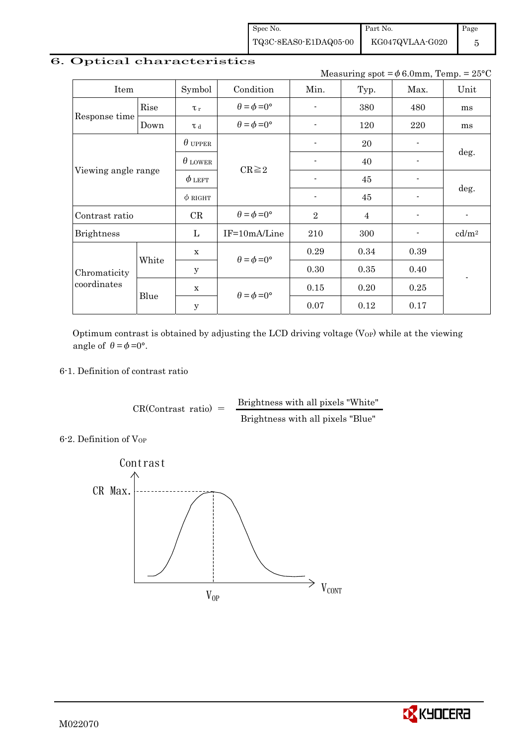Spec No. TQ3C-8EAS0-E1DAQ05-00

KG047QVLAA-G020

Page 5

## 6. Optical characteristics

Measuring spot =  $\phi$  6.0mm, Temp. = 25°C

Part No.

| Item                        |       | Symbol         | Condition                   | Min.           | Typ.           | Max.                     | Unit                     |  |
|-----------------------------|-------|----------------|-----------------------------|----------------|----------------|--------------------------|--------------------------|--|
| Response time               | Rise  | $\tau_r$       | $\theta = \phi = 0^{\circ}$ |                | 380            | 480                      | ms                       |  |
|                             | Down  | T d            | $\theta = \phi = 0^{\circ}$ |                | 120            | 220                      | ms                       |  |
|                             |       | $\theta$ upper |                             | $\blacksquare$ | 20             | $\blacksquare$           |                          |  |
| Viewing angle range         |       | $\theta$ lower | $CR \geq 2$                 |                | 40             | $\overline{\phantom{0}}$ | deg.                     |  |
|                             |       | $\phi$ left    |                             |                | 45             |                          | deg.                     |  |
|                             |       | $\phi$ right   |                             |                | 45             | $\overline{a}$           |                          |  |
| Contrast ratio              |       | CR             | $\theta = \phi = 0^{\circ}$ | $\overline{2}$ | $\overline{4}$ | $\overline{\phantom{0}}$ | $\overline{\phantom{a}}$ |  |
| <b>Brightness</b>           |       | L              | IF=10mA/Line                | 210            | 300            | $\overline{\phantom{a}}$ | cd/m <sup>2</sup>        |  |
|                             |       | $\mathbf x$    |                             | 0.29           | 0.34           | 0.39                     |                          |  |
| Chromaticity<br>coordinates | White | $\mathbf{y}$   | $\theta = \phi = 0^{\circ}$ | 0.30           | 0.35           | 0.40                     |                          |  |
|                             |       | $\mathbf x$    |                             | 0.15           | 0.20           | 0.25                     |                          |  |
|                             | Blue  | $\mathbf{y}$   | $\theta = \phi = 0^{\circ}$ | 0.07           | 0.12           | 0.17                     |                          |  |

Optimum contrast is obtained by adjusting the LCD driving voltage  $(V_{OP})$  while at the viewing angle of  $\theta = \phi = 0^{\circ}$ .

### 6-1. Definition of contrast ratio

 $CR(Contrast ratio) =$  Brightness with all pixels "White" Brightness with all pixels "Blue"

6-2. Definition of Vor



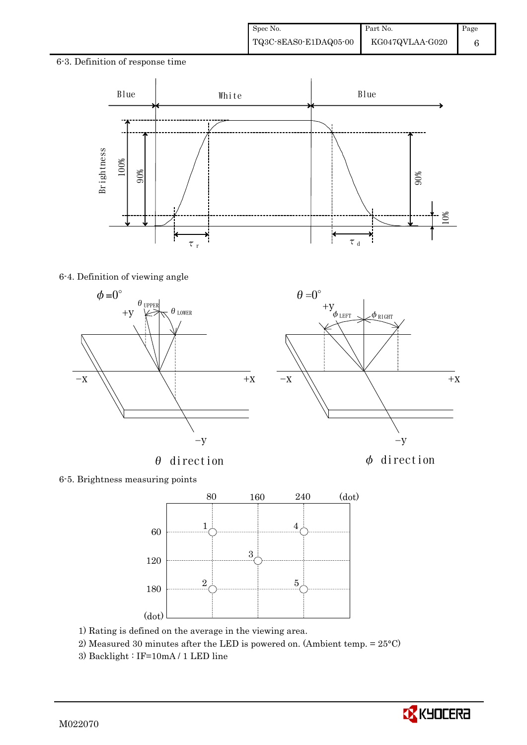6-3. Definition of response time



 $\theta=0^\circ$ 

6-4. Definition of viewing angle



 $\theta$  direction  $\phi$  direction



6-5. Brightness measuring points



- 1) Rating is defined on the average in the viewing area.
- 2) Measured 30 minutes after the LED is powered on. (Ambient temp. = 25°C)
- 3) Backlight : IF=10mA / 1 LED line

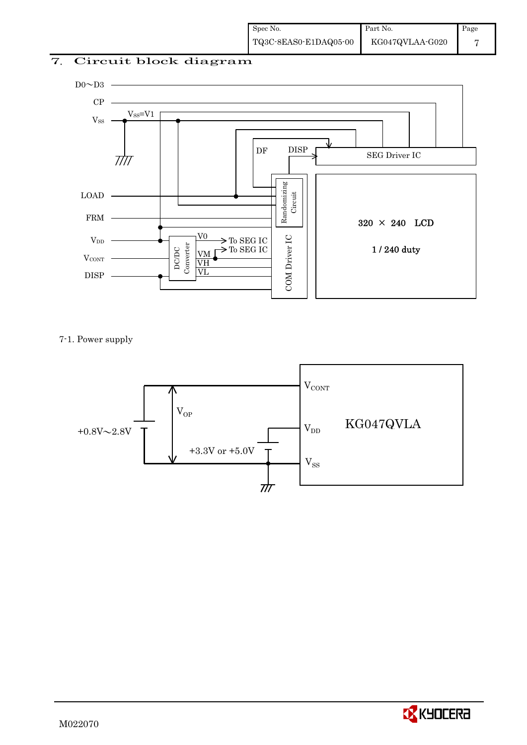### 7. Circuit block diagram



7-1. Power supply



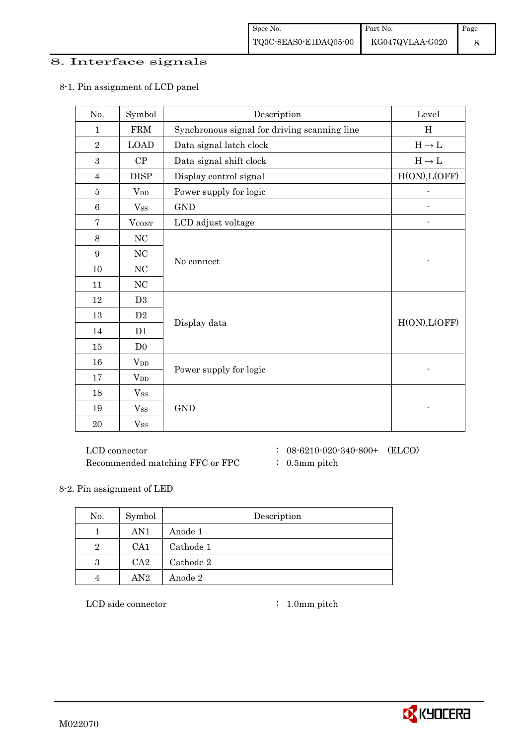### 8. Interface signals

| No.            | Symbol                 | Description                                  | Level         |
|----------------|------------------------|----------------------------------------------|---------------|
| $\mathbf{1}$   | <b>FRM</b>             | Synchronous signal for driving scanning line | H             |
| $\overline{2}$ | <b>LOAD</b>            | Data signal latch clock                      | $H\to L$      |
| 3              | ${\cal CP}$            | Data signal shift clock                      | $H\to L$      |
| $\overline{4}$ | <b>DISP</b>            | Display control signal                       | H(ON), L(OFF) |
| 5              | $V_{DD}$               | Power supply for logic                       |               |
| 6              | $V_{SS}$               | <b>GND</b>                                   |               |
| $\overline{7}$ | <b>VCONT</b>           | LCD adjust voltage                           |               |
| 8              | NC                     |                                              |               |
| 9              | NC                     |                                              |               |
| 10             | NC                     | No connect                                   |               |
| 11             | NC                     |                                              |               |
| 12             | D <sub>3</sub>         |                                              |               |
| 13             | $\mathbf{D}2$          |                                              | H(ON), L(OFF) |
| 14             | D1                     | Display data                                 |               |
| 15             | D <sub>0</sub>         |                                              |               |
| 16             | $V_{DD}$               |                                              |               |
| 17             | <b>V</b> <sub>DD</sub> | Power supply for logic                       |               |
| 18             | $V_{SS}$               |                                              |               |
| 19             | $V_{SS}$               | <b>GND</b>                                   |               |
| 20             | $V_{SS}$               |                                              |               |

### 8-1. Pin assignment of LCD panel

 $\rm LCD~connector ~~:~~08\text{-}6210\text{-}020\text{-}340\text{-}800+~~(ELCO)$ Recommended matching FFC or FPC : 0.5mm pitch

- 
- 

### 8-2. Pin assignment of LED

| No.            | Symbol          | Description |
|----------------|-----------------|-------------|
|                | AN1             | Anode 1     |
| $\overline{2}$ | CA <sub>1</sub> | Cathode 1   |
| 3              | CA <sub>2</sub> | Cathode 2   |
|                | AN2             | Anode 2     |

LCD side connector : 1.0mm pitch

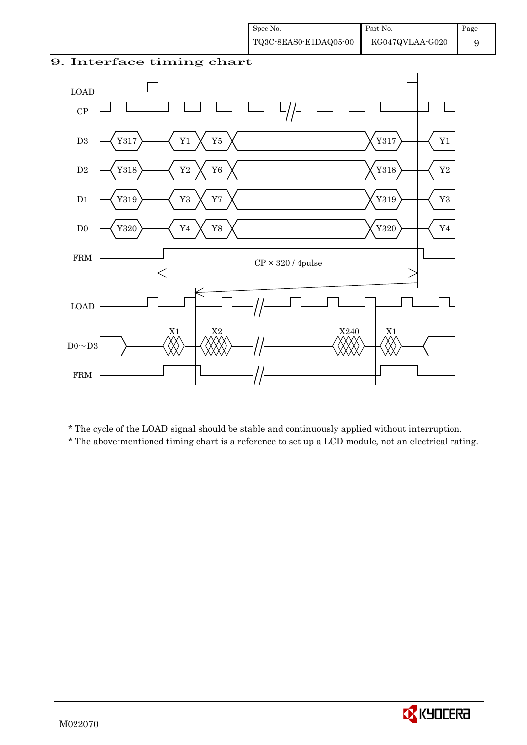9





\* The cycle of the LOAD signal should be stable and continuously applied without interruption.

\* The above-mentioned timing chart is a reference to set up a LCD module, not an electrical rating.

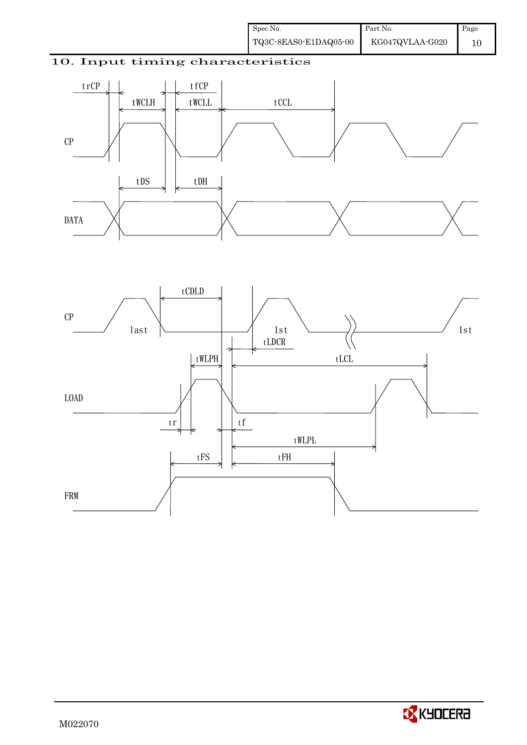### 10. Input timing characteristics





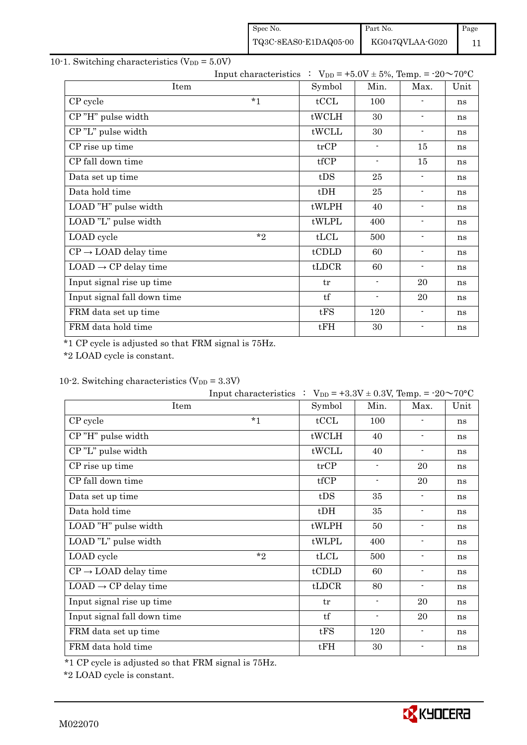| Spec No.              | Part No.        | Page |
|-----------------------|-----------------|------|
| TQ3C-8EAS0-E1DAQ05-00 | KG047QVLAA-G020 |      |

### 10-1. Switching characteristics  $(V_{DD} = 5.0V)$

|                                  |         |        | Input characteristics : $V_{DD} = +5.0V \pm 5\%$ , Temp. = -20~70°C |                          |      |  |  |  |
|----------------------------------|---------|--------|---------------------------------------------------------------------|--------------------------|------|--|--|--|
| Item                             |         | Symbol | Min.                                                                | Max.                     | Unit |  |  |  |
| CP cycle                         | $*_{1}$ | tCCL   | 100                                                                 | $\overline{a}$           | ns   |  |  |  |
| CP"H" pulse width                |         | tWCLH  | 30                                                                  | $\blacksquare$           | ns   |  |  |  |
| CP"L" pulse width                |         | tWCLL  | 30                                                                  | $\blacksquare$           | ns   |  |  |  |
| CP rise up time                  |         | trCP   | $\blacksquare$                                                      | 15                       | ns   |  |  |  |
| CP fall down time                |         | tfCP   | $\overline{\phantom{a}}$                                            | 15                       | ns   |  |  |  |
| Data set up time                 |         | tDS    | 25                                                                  | $\overline{\phantom{a}}$ | ns   |  |  |  |
| Data hold time                   |         | $t$ DH | 25                                                                  | $\overline{\phantom{a}}$ | ns   |  |  |  |
| LOAD "H" pulse width             |         | tWLPH  | 40                                                                  | $\overline{\phantom{a}}$ | ns   |  |  |  |
| LOAD "L" pulse width             |         | tWLPL  | 400                                                                 | $\overline{\phantom{a}}$ | ns   |  |  |  |
| LOAD cycle                       | $*_{2}$ | tLCL   | 500                                                                 | $\blacksquare$           | ns   |  |  |  |
| $CP \rightarrow$ LOAD delay time |         | tCDLD  | 60                                                                  | $\overline{\phantom{a}}$ | ns   |  |  |  |
| $LOAD \rightarrow CP$ delay time |         | tLDCR  | 60                                                                  | $\blacksquare$           | ns   |  |  |  |
| Input signal rise up time        |         | tr     | $\overline{\phantom{a}}$                                            | 20                       | ns   |  |  |  |
| Input signal fall down time      |         | tf     | $\blacksquare$                                                      | 20                       | ns   |  |  |  |
| FRM data set up time             |         | tFS    | 120                                                                 | $\overline{\phantom{a}}$ | ns   |  |  |  |
| FRM data hold time               |         | tFH    | 30                                                                  | $\overline{a}$           | ns   |  |  |  |

\*1 CP cycle is adjusted so that FRM signal is 75Hz.

\*2 LOAD cycle is constant.

|  |  | 10-2. Switching characteristics $(V_{DD} = 3.3V)$ |  |
|--|--|---------------------------------------------------|--|
|--|--|---------------------------------------------------|--|

|                                  |         | Input characteristics : $V_{DD} = +3.3V \pm 0.3V$ , Temp. = -20~70°C |                          |                          |      |
|----------------------------------|---------|----------------------------------------------------------------------|--------------------------|--------------------------|------|
| Item                             |         | Symbol                                                               | Min.                     | Max.                     | Unit |
| CP cycle                         | $*_{1}$ | tCCL                                                                 | 100                      |                          | ns   |
| CP"H" pulse width                |         | tWCLH                                                                | 40                       | $\blacksquare$           | ns   |
| CP"L" pulse width                |         | tWCLL                                                                | 40                       | $\overline{\phantom{a}}$ | ns   |
| CP rise up time                  |         | trCP                                                                 | $\overline{\phantom{a}}$ | 20                       | ns   |
| CP fall down time                |         | tfCP                                                                 | $\overline{\phantom{a}}$ | 20                       | ns   |
| Data set up time                 |         | tDS                                                                  | 35                       | $\blacksquare$           | ns   |
| Data hold time                   |         | $t$ DH                                                               | 35                       | $\overline{\phantom{a}}$ | ns   |
| LOAD "H" pulse width             |         | tWLPH                                                                | 50                       | $\overline{\phantom{a}}$ | ns   |
| LOAD "L" pulse width             |         | tWLPL                                                                | 400                      | $\overline{\phantom{a}}$ | ns   |
| LOAD cycle                       | $*$ ?   | tLCL                                                                 | 500                      | $\blacksquare$           | ns   |
| $CP \rightarrow$ LOAD delay time |         | tCDLD                                                                | 60                       | $\overline{\phantom{a}}$ | ns   |
| $LOAD \rightarrow CP$ delay time |         | tLDCR                                                                | 80                       | $\blacksquare$           | ns   |
| Input signal rise up time        |         | tr                                                                   | $\blacksquare$           | 20                       | ns   |
| Input signal fall down time      |         | tf                                                                   | $\blacksquare$           | 20                       | ns   |
| FRM data set up time             |         | tFS                                                                  | 120                      | $\overline{\phantom{a}}$ | ns   |
| FRM data hold time               |         | tFH                                                                  | 30                       |                          | ns   |

\*1 CP cycle is adjusted so that FRM signal is 75Hz.

\*2 LOAD cycle is constant.

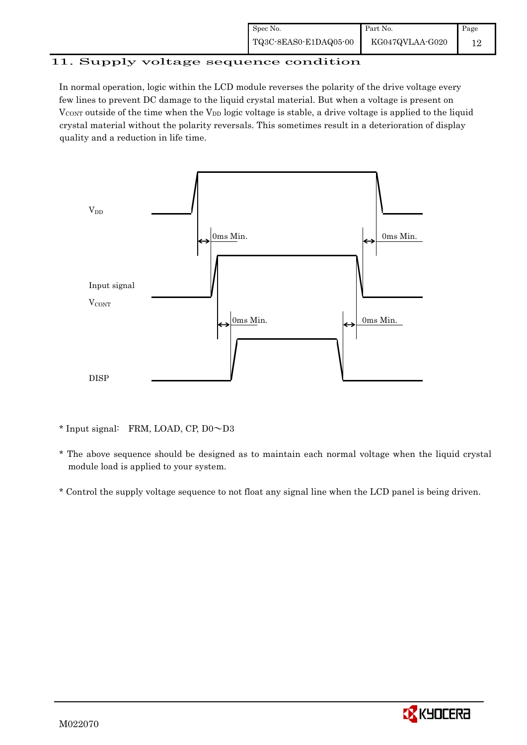| Spec No.              | Part No.        | Page |
|-----------------------|-----------------|------|
| TQ3C-8EAS0-E1DAQ05-00 | KG047QVLAA-G020 |      |

# 11. Supply voltage sequence condition

In normal operation, logic within the LCD module reverses the polarity of the drive voltage every few lines to prevent DC damage to the liquid crystal material. But when a voltage is present on  $V_{\text{CONT}}$  outside of the time when the  $V_{\text{DD}}$  logic voltage is stable, a drive voltage is applied to the liquid crystal material without the polarity reversals. This sometimes result in a deterioration of display quality and a reduction in life time.



<sup>\*</sup> Input signal: FRM, LOAD, CP, D0~D3

 \* The above sequence should be designed as to maintain each normal voltage when the liquid crystal module load is applied to your system.

\* Control the supply voltage sequence to not float any signal line when the LCD panel is being driven.

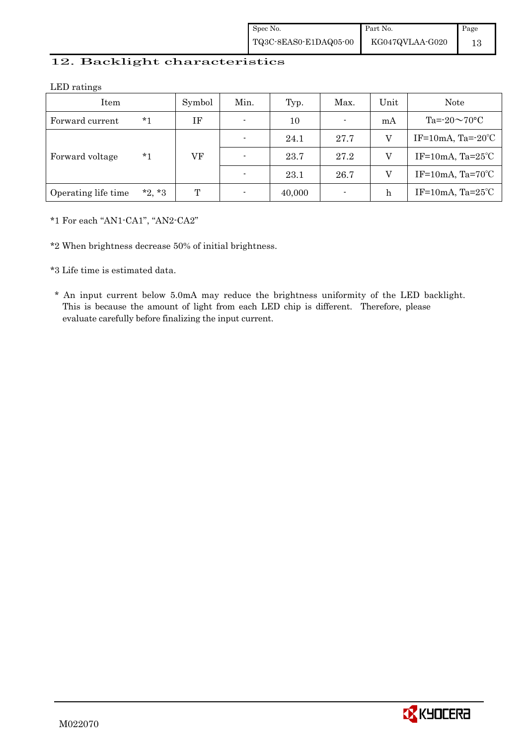| Spec No.              | Part No.        | Page |
|-----------------------|-----------------|------|
| TQ3C-8EAS0-E1DAQ05-00 | KG047QVLAA-G020 |      |

### 12. Backlight characteristics

LED ratings

| Item                |          | Symbol | Min.           | Typ.   | Max.           | Unit | Note                         |
|---------------------|----------|--------|----------------|--------|----------------|------|------------------------------|
| Forward current     | *1       | ΙF     | $\blacksquare$ | 10     | $\blacksquare$ | mA   | Ta= $-20 \sim 70$ °C         |
|                     |          |        | $\blacksquare$ | 24.1   | 27.7           | V    | IF=10mA, Ta= $-20^{\circ}$ C |
| Forward voltage     | *1       | VF     | $\blacksquare$ | 23.7   | 27.2           | V    | IF=10mA, $Ta=25^{\circ}C$    |
|                     |          |        | $\overline{a}$ | 23.1   | 26.7           | V    | IF=10mA, $Ta=70^{\circ}C$    |
| Operating life time | $*2, *3$ | T      | $\overline{a}$ | 40,000 |                | h    | IF=10mA, $Ta=25^{\circ}C$    |

\*1 For each "AN1-CA1", "AN2-CA2"

\*2 When brightness decrease 50% of initial brightness.

\*3 Life time is estimated data.

 \* An input current below 5.0mA may reduce the brightness uniformity of the LED backlight. This is because the amount of light from each LED chip is different. Therefore, please evaluate carefully before finalizing the input current.

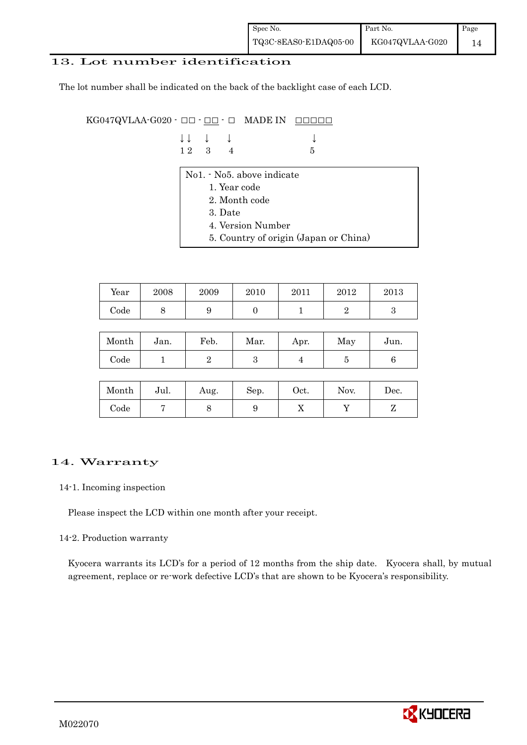| Spec No.              | Part No.        | Page |
|-----------------------|-----------------|------|
| TQ3C-8EAS0-E1DAQ05-00 | KG047QVLAA-G020 |      |

### 13. Lot number identification

The lot number shall be indicated on the back of the backlight case of each LCD.

KG047QVLAA-G020 -  $\Box$  $\Box$   $\Box$   $\Box$  MADE IN  $\Box$  $\Box$  $\Box$  $\Box$ 

| $\downarrow \downarrow$ $\downarrow$ $\downarrow$ |  |                 |
|---------------------------------------------------|--|-----------------|
| $12 \quad 3 \quad 4$                              |  | $5\overline{5}$ |

- No1. No5. above indicate
	- 1. Year code
	- 2. Month code
	- 3. Date
	- 4. Version Number
	- 5. Country of origin (Japan or China)

| Year       | 2008 | 2009 | 2010 | 2011 | 2012 | 2013 |
|------------|------|------|------|------|------|------|
| $\rm Code$ | ◡    |      |      |      |      |      |

| Month      | Jan. | Feb. | Mar. | Apr. | May | Jun. |
|------------|------|------|------|------|-----|------|
| $\rm Code$ |      |      | ౿    |      |     |      |

| Month      | Jul. | Aug. | Sep. | $_{\rm Oct.}$ | Nov. | Dec. |
|------------|------|------|------|---------------|------|------|
| $\rm Code$ |      |      |      | ∡⊾            |      |      |

### 14. Warranty

#### 14-1. Incoming inspection

Please inspect the LCD within one month after your receipt.

#### 14-2. Production warranty

 Kyocera warrants its LCD's for a period of 12 months from the ship date. Kyocera shall, by mutual agreement, replace or re-work defective LCD's that are shown to be Kyocera's responsibility.

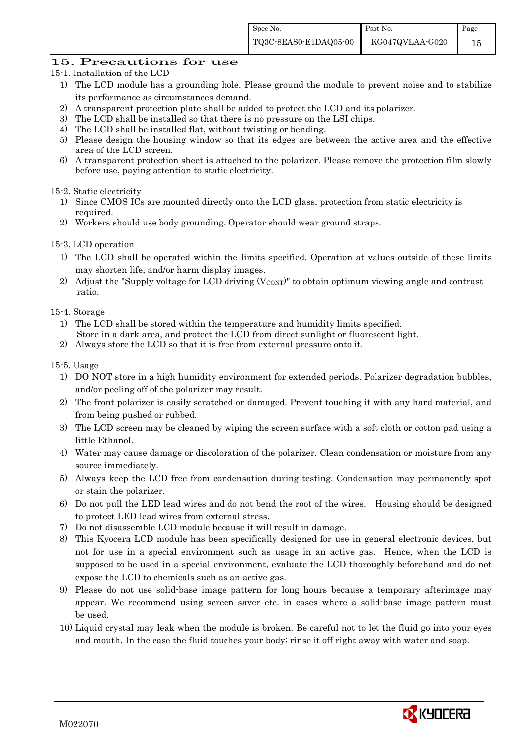### 15. Precautions for use

- 15-1. Installation of the LCD
	- 1) The LCD module has a grounding hole. Please ground the module to prevent noise and to stabilize its performance as circumstances demand.
	- 2) A transparent protection plate shall be added to protect the LCD and its polarizer.
	- 3) The LCD shall be installed so that there is no pressure on the LSI chips.
	- 4) The LCD shall be installed flat, without twisting or bending.
	- 5) Please design the housing window so that its edges are between the active area and the effective area of the LCD screen.
	- 6) A transparent protection sheet is attached to the polarizer. Please remove the protection film slowly before use, paying attention to static electricity.

### 15-2. Static electricity

- 1) Since CMOS ICs are mounted directly onto the LCD glass, protection from static electricity is required.
- 2) Workers should use body grounding. Operator should wear ground straps.

#### 15-3. LCD operation

- 1) The LCD shall be operated within the limits specified. Operation at values outside of these limits may shorten life, and/or harm display images.
- 2) Adjust the "Supply voltage for LCD driving  $(V_{\text{CONT}})$ " to obtain optimum viewing angle and contrast ratio.

#### 15-4. Storage

- 1) The LCD shall be stored within the temperature and humidity limits specified. Store in a dark area, and protect the LCD from direct sunlight or fluorescent light.
- 2) Always store the LCD so that it is free from external pressure onto it.

#### 15-5. Usage

- 1) DO NOT store in a high humidity environment for extended periods. Polarizer degradation bubbles, and/or peeling off of the polarizer may result.
- 2) The front polarizer is easily scratched or damaged. Prevent touching it with any hard material, and from being pushed or rubbed.
- 3) The LCD screen may be cleaned by wiping the screen surface with a soft cloth or cotton pad using a little Ethanol.
- 4) Water may cause damage or discoloration of the polarizer. Clean condensation or moisture from any source immediately.
- 5) Always keep the LCD free from condensation during testing. Condensation may permanently spot or stain the polarizer.
- 6) Do not pull the LED lead wires and do not bend the root of the wires. Housing should be designed to protect LED lead wires from external stress.
- 7) Do not disassemble LCD module because it will result in damage.
- 8) This Kyocera LCD module has been specifically designed for use in general electronic devices, but not for use in a special environment such as usage in an active gas. Hence, when the LCD is supposed to be used in a special environment, evaluate the LCD thoroughly beforehand and do not expose the LCD to chemicals such as an active gas.
- 9) Please do not use solid-base image pattern for long hours because a temporary afterimage may appear. We recommend using screen saver etc. in cases where a solid-base image pattern must be used.
- 10) Liquid crystal may leak when the module is broken. Be careful not to let the fluid go into your eyes and mouth. In the case the fluid touches your body; rinse it off right away with water and soap.

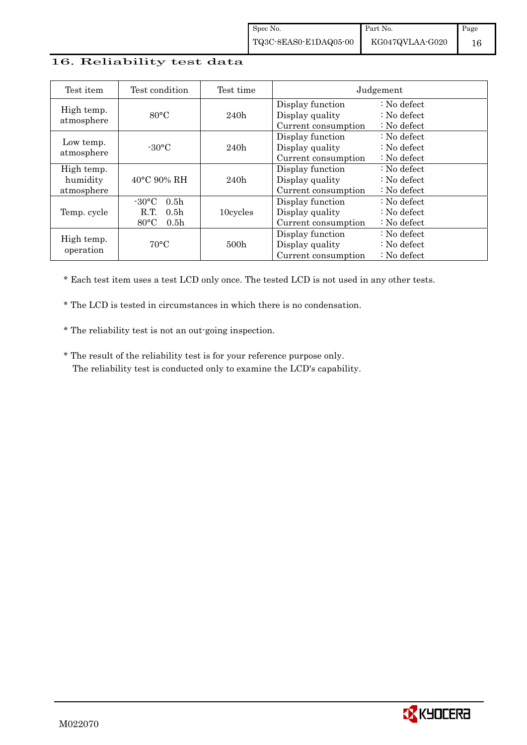### 16. Reliability test data

| Test item                            | Test condition                                                                                        | Test time        | Judgement                                                  |                                                                            |  |
|--------------------------------------|-------------------------------------------------------------------------------------------------------|------------------|------------------------------------------------------------|----------------------------------------------------------------------------|--|
| High temp.<br>atmosphere             | $80^{\circ}$ C                                                                                        | 240h             | Display function<br>Display quality<br>Current consumption | : No defect<br>$\therefore$ No defect<br>$\therefore$ No defect            |  |
| Low temp.<br>atmosphere              | $-30^{\circ}$ C                                                                                       | 240h             | Display function<br>Display quality<br>Current consumption | $\therefore$ No defect<br>$\therefore$ No defect<br>$\therefore$ No defect |  |
| High temp.<br>humidity<br>atmosphere | $40^{\circ}$ C 90% RH                                                                                 | 240h             | Display function<br>Display quality<br>Current consumption | $\therefore$ No defect<br>$\therefore$ No defect<br>$\therefore$ No defect |  |
| Temp. cycle                          | $-30^{\circ}$ C<br>0.5 <sub>h</sub><br>0.5 <sub>h</sub><br>R.T.<br>$80^{\circ}$ C<br>0.5 <sub>h</sub> | 10cycles         | Display function<br>Display quality<br>Current consumption | $\therefore$ No defect<br>$\therefore$ No defect<br>$\therefore$ No defect |  |
| High temp.<br>operation              | $70^{\circ}$ C                                                                                        | 500 <sub>h</sub> | Display function<br>Display quality<br>Current consumption | : No defect<br>$\therefore$ No defect<br>$\therefore$ No defect            |  |

\* Each test item uses a test LCD only once. The tested LCD is not used in any other tests.

\* The LCD is tested in circumstances in which there is no condensation.

\* The reliability test is not an out-going inspection.

 \* The result of the reliability test is for your reference purpose only. The reliability test is conducted only to examine the LCD's capability.

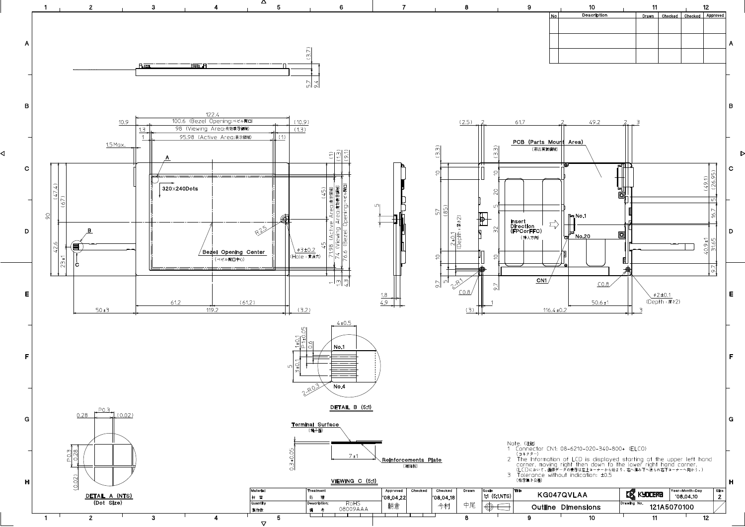

◁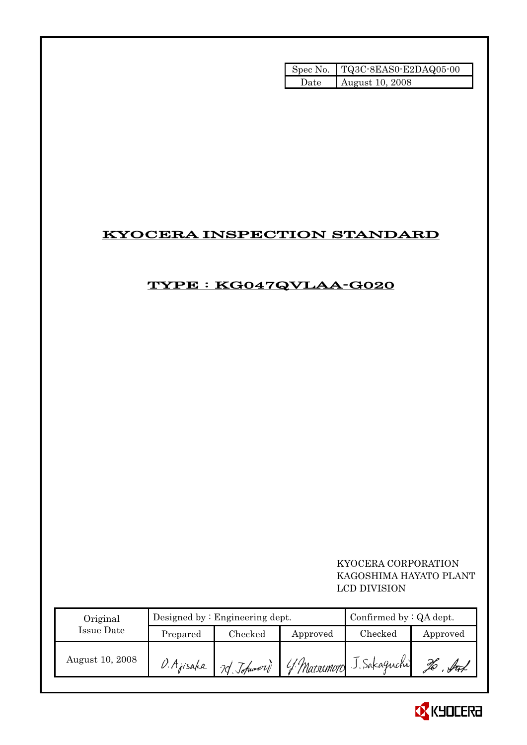|      | Spec No. TQ3C-8EAS0-E2DAQ05-00 |
|------|--------------------------------|
| Date | August 10, 2008                |

# KYOCERA INSPECTION STANDARD

# TYPE : KG047QVLAA-G020

### KYOCERA CORPORATION KAGOSHIMA HAYATO PLANT LCD DIVISION

| Original        |                            | Designed by $:$ Engineering dept. | Confirmed by $:QA$ dept. |                          |                   |
|-----------------|----------------------------|-----------------------------------|--------------------------|--------------------------|-------------------|
| Issue Date      | Prepared                   | $\rm Checked$                     | Approved                 | $\rm Checked$            | Approved          |
| August 10, 2008 | D. Ajisaka '<br>2d Johnson |                                   |                          | 4 Marsumoto J. Sakaguchi | f <del>re</del> t |

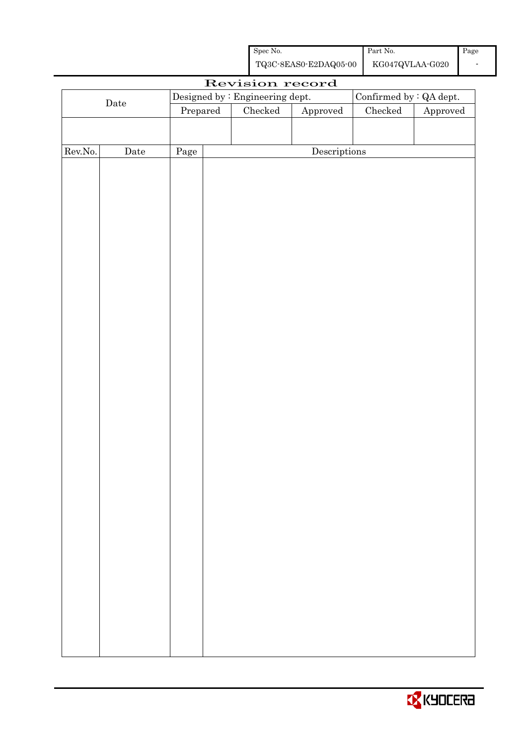| Spec No.              | Part No.        | Page |
|-----------------------|-----------------|------|
| TQ3C-8EAS0-E2DAQ05-00 | KG047QVLAA-G020 |      |

|         | Revision record      |          |  |                                 |                        |                         |          |  |
|---------|----------------------|----------|--|---------------------------------|------------------------|-------------------------|----------|--|
|         |                      |          |  | Designed by : Engineering dept. |                        | Confirmed by : QA dept. |          |  |
|         | $\rm{\textbf{Date}}$ | Prepared |  | Checked                         | ${\Large\bf Approved}$ | $\rm Checked$           | Approved |  |
|         |                      |          |  |                                 |                        |                         |          |  |
|         |                      |          |  |                                 |                        |                         |          |  |
| Rev.No. | $\rm{Date}$          | Page     |  |                                 | Descriptions           |                         |          |  |
|         |                      |          |  |                                 |                        |                         |          |  |
|         |                      |          |  |                                 |                        |                         |          |  |
|         |                      |          |  |                                 |                        |                         |          |  |
|         |                      |          |  |                                 |                        |                         |          |  |
|         |                      |          |  |                                 |                        |                         |          |  |
|         |                      |          |  |                                 |                        |                         |          |  |
|         |                      |          |  |                                 |                        |                         |          |  |
|         |                      |          |  |                                 |                        |                         |          |  |
|         |                      |          |  |                                 |                        |                         |          |  |
|         |                      |          |  |                                 |                        |                         |          |  |
|         |                      |          |  |                                 |                        |                         |          |  |
|         |                      |          |  |                                 |                        |                         |          |  |
|         |                      |          |  |                                 |                        |                         |          |  |
|         |                      |          |  |                                 |                        |                         |          |  |
|         |                      |          |  |                                 |                        |                         |          |  |
|         |                      |          |  |                                 |                        |                         |          |  |
|         |                      |          |  |                                 |                        |                         |          |  |
|         |                      |          |  |                                 |                        |                         |          |  |
|         |                      |          |  |                                 |                        |                         |          |  |
|         |                      |          |  |                                 |                        |                         |          |  |
|         |                      |          |  |                                 |                        |                         |          |  |
|         |                      |          |  |                                 |                        |                         |          |  |
|         |                      |          |  |                                 |                        |                         |          |  |
|         |                      |          |  |                                 |                        |                         |          |  |
|         |                      |          |  |                                 |                        |                         |          |  |
|         |                      |          |  |                                 |                        |                         |          |  |
|         |                      |          |  |                                 |                        |                         |          |  |
|         |                      |          |  |                                 |                        |                         |          |  |
|         |                      |          |  |                                 |                        |                         |          |  |
|         |                      |          |  |                                 |                        |                         |          |  |
|         |                      |          |  |                                 |                        |                         |          |  |
|         |                      |          |  |                                 |                        |                         |          |  |
|         |                      |          |  |                                 |                        |                         |          |  |
|         |                      |          |  |                                 |                        |                         |          |  |
|         |                      |          |  |                                 |                        |                         |          |  |
|         |                      |          |  |                                 |                        |                         |          |  |

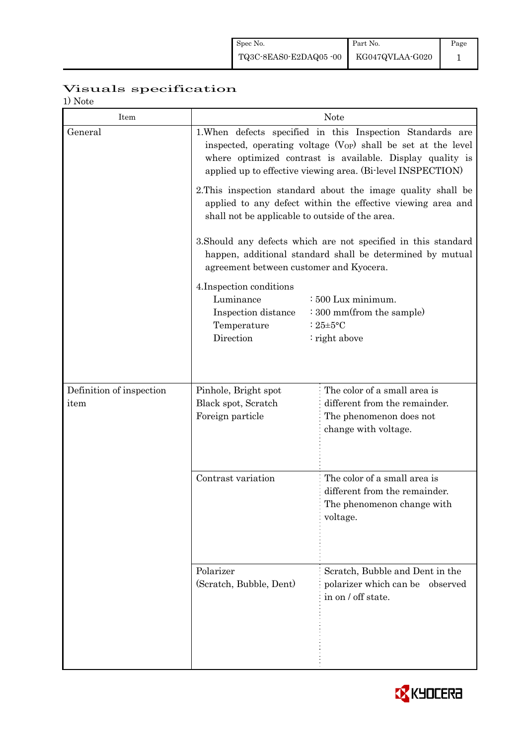# Visuals specification

1) Note

| 17 1 V U U U<br>Item     | <b>Note</b>                                                                                                                                                                          |                                                                                                                                                                                                                                                             |  |  |  |  |
|--------------------------|--------------------------------------------------------------------------------------------------------------------------------------------------------------------------------------|-------------------------------------------------------------------------------------------------------------------------------------------------------------------------------------------------------------------------------------------------------------|--|--|--|--|
| General                  |                                                                                                                                                                                      | 1. When defects specified in this Inspection Standards are<br>inspected, operating voltage $(V_{OP})$ shall be set at the level<br>where optimized contrast is available. Display quality is<br>applied up to effective viewing area. (Bi-level INSPECTION) |  |  |  |  |
|                          | 2. This inspection standard about the image quality shall be<br>applied to any defect within the effective viewing area and<br>shall not be applicable to outside of the area.       |                                                                                                                                                                                                                                                             |  |  |  |  |
|                          | 3. Should any defects which are not specified in this standard<br>happen, additional standard shall be determined by mutual<br>agreement between customer and Kyocera.               |                                                                                                                                                                                                                                                             |  |  |  |  |
|                          | 4. Inspection conditions<br>Luminance<br>$\div 500$ Lux minimum.<br>: 300 mm(from the sample)<br>Inspection distance<br>Temperature<br>: $25 \pm 5$ °C<br>Direction<br>: right above |                                                                                                                                                                                                                                                             |  |  |  |  |
| Definition of inspection | The color of a small area is<br>Pinhole, Bright spot                                                                                                                                 |                                                                                                                                                                                                                                                             |  |  |  |  |
| item                     | Black spot, Scratch<br>Foreign particle                                                                                                                                              | different from the remainder.<br>The phenomenon does not<br>change with voltage.                                                                                                                                                                            |  |  |  |  |
|                          | Contrast variation                                                                                                                                                                   | The color of a small area is<br>different from the remainder.<br>The phenomenon change with<br>voltage.                                                                                                                                                     |  |  |  |  |
|                          | Polarizer<br>(Scratch, Bubble, Dent)                                                                                                                                                 | Scratch, Bubble and Dent in the<br>polarizer which can be observed<br>in on / off state.                                                                                                                                                                    |  |  |  |  |

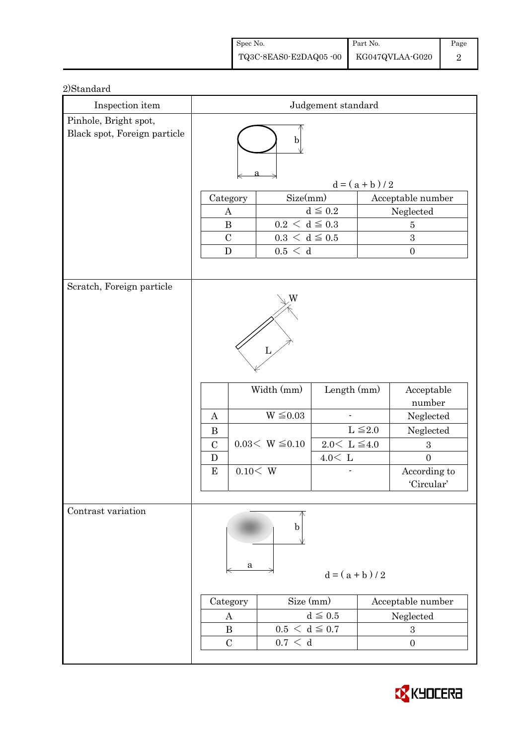| Spec No.              | Part No.        | Page |
|-----------------------|-----------------|------|
| TQ3C-8EAS0-E2DAQ05-00 | KG047QVLAA-G020 |      |

| Inspection item              |                   |          |                             | Judgement standard        |              |                   |  |
|------------------------------|-------------------|----------|-----------------------------|---------------------------|--------------|-------------------|--|
| Pinhole, Bright spot,        |                   |          |                             |                           |              |                   |  |
| Black spot, Foreign particle | $\mathbf b$       |          |                             |                           |              |                   |  |
|                              | $d = (a + b) / 2$ |          |                             |                           |              |                   |  |
|                              | Category          |          | Size(mm)                    |                           |              | Acceptable number |  |
|                              | $\boldsymbol{A}$  |          |                             | $d\leqq0.2$               |              | Neglected         |  |
|                              | $\, {\bf B}$      |          | $0.2\,<\,\mathrm{d}\leq0.3$ |                           |              | $\overline{5}$    |  |
|                              | $\overline{C}$    |          | $0.3\,<\,\rm\,d\leq0.5$     |                           |              | 3                 |  |
|                              | ${\bf D}$         |          | 0.5 < d                     |                           |              | $\boldsymbol{0}$  |  |
|                              |                   |          |                             |                           |              |                   |  |
| Scratch, Foreign particle    |                   |          |                             |                           |              |                   |  |
|                              |                   |          |                             |                           |              |                   |  |
|                              |                   |          |                             |                           |              |                   |  |
|                              |                   |          |                             |                           |              |                   |  |
|                              |                   |          |                             |                           |              |                   |  |
|                              |                   |          | L                           |                           |              |                   |  |
|                              |                   |          |                             |                           |              |                   |  |
|                              |                   |          | Width (mm)                  | Length (mm)               |              | Acceptable        |  |
|                              |                   |          |                             |                           |              | number            |  |
|                              | A                 |          | $W \leq 0.03$               |                           |              | Neglected         |  |
|                              | $\bf{B}$          |          |                             |                           | $L \leq 2.0$ | Neglected         |  |
|                              | $\mathcal{C}$     |          | $0.03< W \leq 0.10$         | $2.0\leq\,$ L $\leq\!4.0$ |              | $\boldsymbol{3}$  |  |
|                              | $\mathbf D$       |          |                             | $4.0\rm <\ L$             |              | $\overline{0}$    |  |
|                              | ${\bf E}$         | 0.10 < W |                             |                           |              | According to      |  |
|                              |                   |          |                             |                           |              | 'Circular'        |  |
|                              |                   |          |                             |                           |              |                   |  |
| Contrast variation           |                   |          |                             |                           |              |                   |  |
|                              |                   |          | b                           |                           |              |                   |  |
|                              |                   |          |                             |                           |              |                   |  |
|                              |                   | a        |                             |                           |              |                   |  |
|                              |                   |          |                             | $d = (a + b)/2$           |              |                   |  |
|                              |                   |          |                             |                           |              |                   |  |
|                              | Category          |          | Size (mm)                   |                           |              | Acceptable number |  |
|                              | $\boldsymbol{A}$  |          |                             | $d \leqq 0.5$             |              | Neglected         |  |
|                              | $\bf{B}$          |          | $0.5\,<\,\mathrm{d}\leq0.7$ |                           |              | $\boldsymbol{3}$  |  |
|                              | $\mathcal{C}$     |          | 0.7 < d                     |                           |              | $\overline{0}$    |  |
|                              |                   |          |                             |                           |              |                   |  |